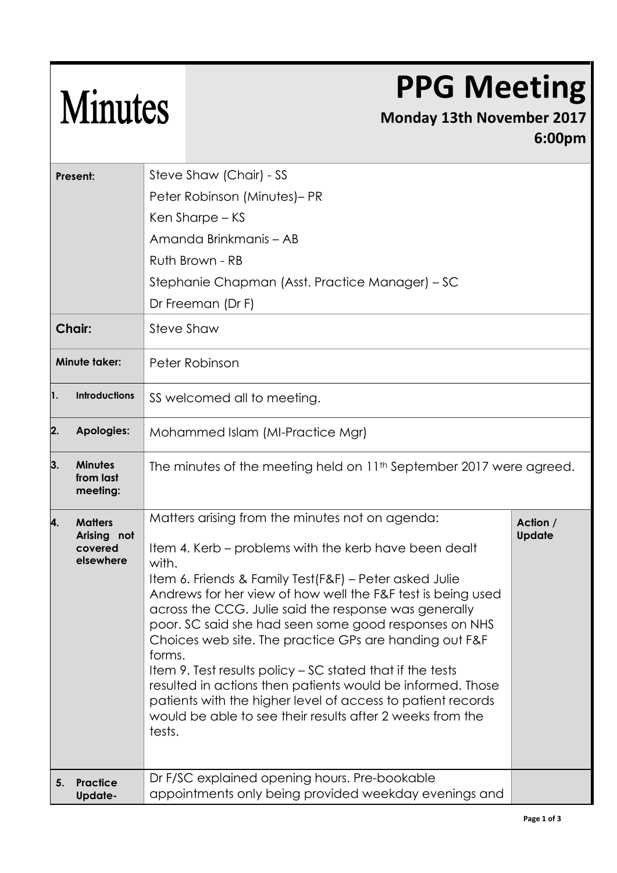## **PPG Meeting**

## Minutes

## **Monday 13th November 2017 6:00pm**

| Present:      |                                                       | Steve Shaw (Chair) - SS                                                                                                                                                                                                                                                                                                                                                                                                                                                                                                                                                                                                                                                                           |                           |  |
|---------------|-------------------------------------------------------|---------------------------------------------------------------------------------------------------------------------------------------------------------------------------------------------------------------------------------------------------------------------------------------------------------------------------------------------------------------------------------------------------------------------------------------------------------------------------------------------------------------------------------------------------------------------------------------------------------------------------------------------------------------------------------------------------|---------------------------|--|
|               |                                                       | Peter Robinson (Minutes)- PR                                                                                                                                                                                                                                                                                                                                                                                                                                                                                                                                                                                                                                                                      |                           |  |
|               |                                                       | Ken Sharpe – KS                                                                                                                                                                                                                                                                                                                                                                                                                                                                                                                                                                                                                                                                                   |                           |  |
|               |                                                       | Amanda Brinkmanis - AB                                                                                                                                                                                                                                                                                                                                                                                                                                                                                                                                                                                                                                                                            |                           |  |
|               |                                                       | Ruth Brown - RB                                                                                                                                                                                                                                                                                                                                                                                                                                                                                                                                                                                                                                                                                   |                           |  |
|               |                                                       | Stephanie Chapman (Asst. Practice Manager) – SC                                                                                                                                                                                                                                                                                                                                                                                                                                                                                                                                                                                                                                                   |                           |  |
|               |                                                       | Dr Freeman (Dr F)                                                                                                                                                                                                                                                                                                                                                                                                                                                                                                                                                                                                                                                                                 |                           |  |
| <b>Chair:</b> |                                                       | <b>Steve Shaw</b>                                                                                                                                                                                                                                                                                                                                                                                                                                                                                                                                                                                                                                                                                 |                           |  |
| Minute taker: |                                                       | Peter Robinson                                                                                                                                                                                                                                                                                                                                                                                                                                                                                                                                                                                                                                                                                    |                           |  |
| 1.            | <b>Introductions</b>                                  | SS welcomed all to meeting.                                                                                                                                                                                                                                                                                                                                                                                                                                                                                                                                                                                                                                                                       |                           |  |
| 2.            | <b>Apologies:</b>                                     | Mohammed Islam (MI-Practice Mgr)                                                                                                                                                                                                                                                                                                                                                                                                                                                                                                                                                                                                                                                                  |                           |  |
| 3.            | <b>Minutes</b><br>from last<br>meeting:               | The minutes of the meeting held on 11 <sup>th</sup> September 2017 were agreed.                                                                                                                                                                                                                                                                                                                                                                                                                                                                                                                                                                                                                   |                           |  |
| 4.            | <b>Matters</b><br>Arising not<br>covered<br>elsewhere | Matters arising from the minutes not on agenda:<br>Item 4. Kerb – problems with the kerb have been dealt<br>with.<br>Item 6. Friends & Family Test(F&F) - Peter asked Julie<br>Andrews for her view of how well the F&F test is being used<br>across the CCG. Julie said the response was generally<br>poor. SC said she had seen some good responses on NHS<br>Choices web site. The practice GPs are handing out F&F<br>forms.<br>Item 9. Test results policy - SC stated that if the tests<br>resulted in actions then patients would be informed. Those<br>patients with the higher level of access to patient records<br>would be able to see their results after 2 weeks from the<br>tests. | Action /<br><b>Update</b> |  |
| 5.            | <b>Practice</b><br><b>Update-</b>                     | Dr F/SC explained opening hours. Pre-bookable<br>appointments only being provided weekday evenings and                                                                                                                                                                                                                                                                                                                                                                                                                                                                                                                                                                                            |                           |  |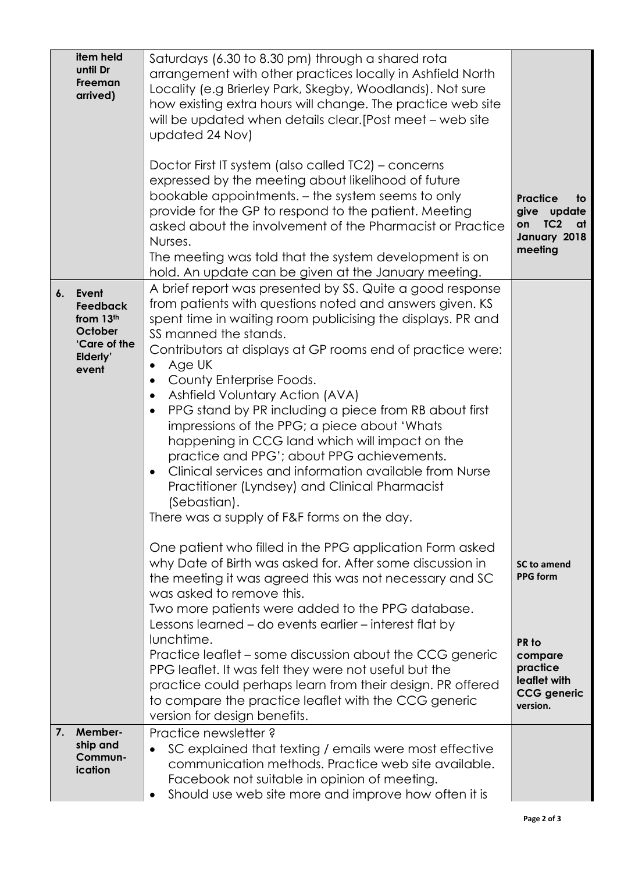|    | item held<br>until Dr<br><b>Freeman</b><br>arrived)                                   | Saturdays (6.30 to 8.30 pm) through a shared rota<br>arrangement with other practices locally in Ashfield North<br>Locality (e.g Brierley Park, Skegby, Woodlands). Not sure<br>how existing extra hours will change. The practice web site<br>will be updated when details clear. [Post meet – web site<br>updated 24 Nov)<br>Doctor First IT system (also called TC2) – concerns<br>expressed by the meeting about likelihood of future<br>bookable appointments. - the system seems to only<br>provide for the GP to respond to the patient. Meeting                                                                                                                                                                                                                                                   | <b>Practice</b><br>to<br>give<br>update                                                                                 |
|----|---------------------------------------------------------------------------------------|-----------------------------------------------------------------------------------------------------------------------------------------------------------------------------------------------------------------------------------------------------------------------------------------------------------------------------------------------------------------------------------------------------------------------------------------------------------------------------------------------------------------------------------------------------------------------------------------------------------------------------------------------------------------------------------------------------------------------------------------------------------------------------------------------------------|-------------------------------------------------------------------------------------------------------------------------|
|    |                                                                                       | asked about the involvement of the Pharmacist or Practice<br>Nurses.<br>The meeting was told that the system development is on<br>hold. An update can be given at the January meeting.                                                                                                                                                                                                                                                                                                                                                                                                                                                                                                                                                                                                                    | TC <sub>2</sub><br>on<br>at<br>January 2018<br>meeting                                                                  |
| 6. | Event<br><b>Feedback</b><br>from 13th<br>October<br>'Care of the<br>Elderly'<br>event | A brief report was presented by SS. Quite a good response<br>from patients with questions noted and answers given. KS<br>spent time in waiting room publicising the displays. PR and<br>SS manned the stands.<br>Contributors at displays at GP rooms end of practice were:<br>Age UK<br>$\bullet$<br>County Enterprise Foods.<br>$\bullet$<br>Ashfield Voluntary Action (AVA)<br>$\bullet$<br>PPG stand by PR including a piece from RB about first<br>$\bullet$<br>impressions of the PPG; a piece about 'Whats<br>happening in CCG land which will impact on the<br>practice and PPG'; about PPG achievements.<br>Clinical services and information available from Nurse<br>$\bullet$<br>Practitioner (Lyndsey) and Clinical Pharmacist<br>(Sebastian).<br>There was a supply of F&F forms on the day. |                                                                                                                         |
|    |                                                                                       | One patient who filled in the PPG application Form asked<br>why Date of Birth was asked for. After some discussion in<br>the meeting it was agreed this was not necessary and SC<br>was asked to remove this.<br>Two more patients were added to the PPG database.<br>Lessons learned - do events earlier - interest flat by<br>lunchtime.<br>Practice leaflet – some discussion about the CCG generic<br>PPG leaflet. It was felt they were not useful but the<br>practice could perhaps learn from their design. PR offered<br>to compare the practice leaflet with the CCG generic<br>version for design benefits.                                                                                                                                                                                     | <b>SC to amend</b><br><b>PPG form</b><br>PR to<br>compare<br>practice<br>leaflet with<br><b>CCG</b> generic<br>version. |
| 7. | Member-<br>ship and<br>Commun-<br>ication                                             | Practice newsletter?<br>SC explained that texting / emails were most effective<br>communication methods. Practice web site available.<br>Facebook not suitable in opinion of meeting.<br>Should use web site more and improve how often it is                                                                                                                                                                                                                                                                                                                                                                                                                                                                                                                                                             |                                                                                                                         |